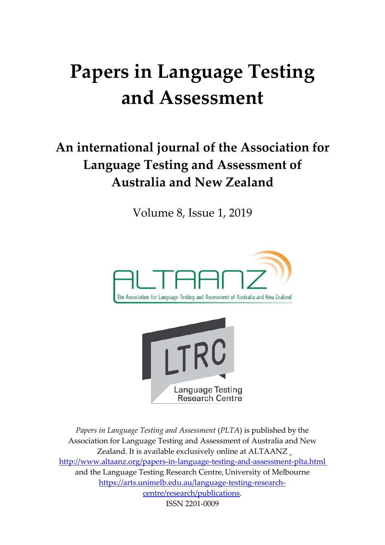# **Papers in Language Testing and Assessment**

# **An international journal of the Association for Language Testing and Assessment of Australia and New Zealand**

Volume 8, Issue 1, 2019





*Papers in Language Testing and Assessment* (*PLTA*) is published by the Association for Language Testing and Assessment of Australia and [New](http://www.altaanz.org/)  Zealand. It is available exclusively online at ALTAANZ [http://www.altaanz.org/papers-in-language-testing-and-assessment-plta.html](http://www.altaanz.org/) and the Language Testing Research Centre, University of Melbourne https://arts.unimelb.edu.au/language-testing-researchcentre/research/publications. ISSN 2201-0009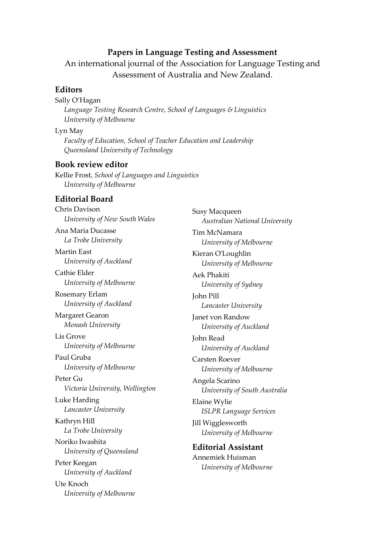#### **Papers in Language Testing and Assessment**

An international journal of the Association for Language Testing and Assessment of Australia and New Zealand.

#### **Editors**

#### Sally O'Hagan

*Language Testing Research Centre, School of Languages & Linguistics University of Melbourne*

#### Lyn May

*Faculty of Education, School of Teacher Education and Leadership Queensland University of Technology*

#### **Book review editor**

Kellie Frost, *School of Languages and Linguistics University of Melbourne*

#### **Editorial Board**

Chris Davison *University of New South Wales* Ana Maria Ducasse *La Trobe University* Martin East *University of Auckland* Cathie Elder *University of Melbourne* Rosemary Erlam *University of Auckland* Margaret Gearon *Monash University* Lis Grove *University of Melbourne* Paul Gruba *University of Melbourne* Peter Gu *Victoria University, Wellington* Luke Harding *Lancaster University* Kathryn Hill *La Trobe University* Noriko Iwashita *University of Queensland* Peter Keegan *University of Auckland* Ute Knoch *University of Melbourne*

Susy Macqueen *Australian National University* Tim McNamara *University of Melbourne* Kieran O'Loughlin *University of Melbourne* Aek Phakiti *University of Sydney* John Pill *Lancaster University* Janet von Randow *University of Auckland* John Read *University of Auckland* Carsten Roever *University of Melbourne* Angela Scarino *University of South Australia* Elaine Wylie *ISLPR Language Services* Jill Wigglesworth *University of Melbourne* **Editorial Assistant** Annemiek Huisman *University of Melbourne*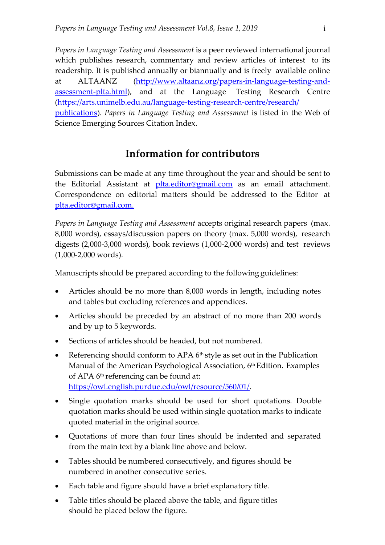*Papers in Language Testing and Assessment* is a peer reviewed international journal which publishes research, commentary and review articles of interest to its readership. It is published annually or biannually and is freely available online at ALTAANZ (http://www.altaanz.org/papers-in-language-testing-andassessment-plta.html), and at the Language Testing Research Centre [\(https://arts.unimelb.edu.au/language-testing-research-centre/research/](https://arts.unimelb.edu.au/language-testing-research-centre/research/%20publications) [publications\)](https://arts.unimelb.edu.au/language-testing-research-centre/research/%20publications). *Papers in Language Testing and Assessment* is listed in the Web of Science Emerging Sources Citation Index.

### **Information for contributors**

Submissions can be made at any time throughout the year and should be sent to the Editorial Assistant at *[plta.editor@gmail.com](mailto:plta.editor@gmail.com)* as an email attachment. Correspondence on editorial matters should be addressed to the Editor at [plta.editor@gmail.com.](mailto:plta.editor@gmail.com)

*Papers in Language Testing and Assessment* accepts original research papers (max. 8,000 words), essays/discussion papers on theory (max. 5,000 words), research digests (2,000-3,000 words), book reviews (1,000-2,000 words) and test reviews (1,000-2,000 words).

Manuscripts should be prepared according to the following guidelines:

- Articles should be no more than 8,000 words in length, including notes and tables but excluding references and appendices.
- Articles should be preceded by an abstract of no more than 200 words and by up to 5 keywords.
- Sections of articles should be headed, but not numbered.
- Referencing should conform to APA  $6<sup>th</sup>$  style as set out in the Publication Manual of the American Psychological Association, 6<sup>th</sup> Edition. Examples of APA 6<sup>th</sup> referencing can be found at: [https://owl.english.purdue.edu/owl/resource/560/01/.](https://owl.english.purdue.edu/owl/resource/560/01/)
- Single quotation marks should be used for short quotations. Double quotation marks should be used within single quotation marks to indicate quoted material in the original source.
- Quotations of more than four lines should be indented and separated from the main text by a blank line above and below.
- Tables should be numbered consecutively, and figures should be numbered in another consecutive series.
- Each table and figure should have a brief explanatory title.
- Table titles should be placed above the table, and figure titles should be placed below the figure.